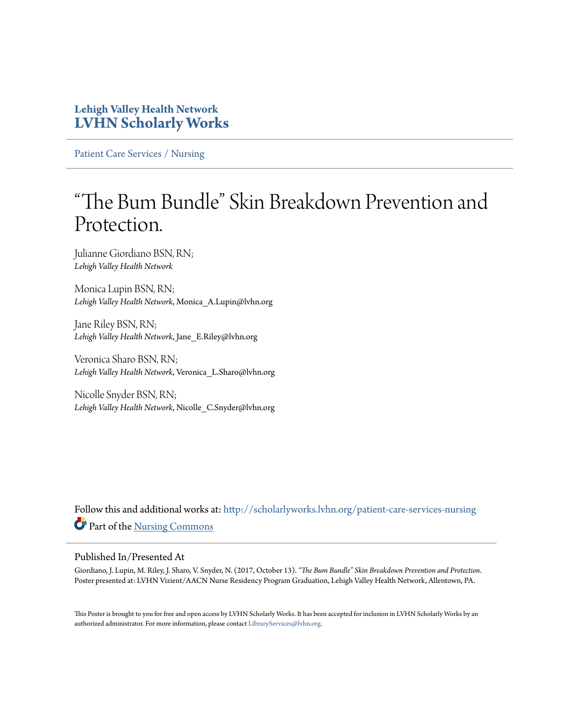### **Lehigh Valley Health Network [LVHN Scholarly Works](http://scholarlyworks.lvhn.org?utm_source=scholarlyworks.lvhn.org%2Fpatient-care-services-nursing%2F863&utm_medium=PDF&utm_campaign=PDFCoverPages)**

[Patient Care Services / Nursing](http://scholarlyworks.lvhn.org/patient-care-services-nursing?utm_source=scholarlyworks.lvhn.org%2Fpatient-care-services-nursing%2F863&utm_medium=PDF&utm_campaign=PDFCoverPages)

### "The Bum Bundle" Skin Breakdown Prevention and Protection.

Julianne Giordiano BSN, RN; *Lehigh Valley Health Network*

Monica Lupin BSN, RN; *Lehigh Valley Health Network*, Monica\_A.Lupin@lvhn.org

Jane Riley BSN, RN; *Lehigh Valley Health Network*, Jane\_E.Riley@lvhn.org

Veronica Sharo BSN, RN; *Lehigh Valley Health Network*, Veronica\_L.Sharo@lvhn.org

Nicolle Snyder BSN, RN; *Lehigh Valley Health Network*, Nicolle\_C.Snyder@lvhn.org

Follow this and additional works at: [http://scholarlyworks.lvhn.org/patient-care-services-nursing](http://scholarlyworks.lvhn.org/patient-care-services-nursing?utm_source=scholarlyworks.lvhn.org%2Fpatient-care-services-nursing%2F863&utm_medium=PDF&utm_campaign=PDFCoverPages) Part of the [Nursing Commons](http://network.bepress.com/hgg/discipline/718?utm_source=scholarlyworks.lvhn.org%2Fpatient-care-services-nursing%2F863&utm_medium=PDF&utm_campaign=PDFCoverPages)

### Published In/Presented At

Giordiano, J. Lupin, M. Riley, J. Sharo, V. Snyder, N. (2017, October 13). *"The Bum Bundle" Skin Breakdown Prevention and Protection*. Poster presented at: LVHN Vizient/AACN Nurse Residency Program Graduation, Lehigh Valley Health Network, Allentown, PA.

This Poster is brought to you for free and open access by LVHN Scholarly Works. It has been accepted for inclusion in LVHN Scholarly Works by an authorized administrator. For more information, please contact [LibraryServices@lvhn.org.](mailto:LibraryServices@lvhn.org)